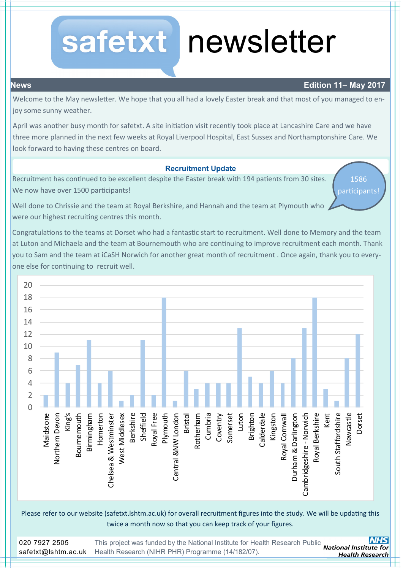## safetxt

# newsletter

## **News Edition 11– May 2017**

Welcome to the May newsletter. We hope that you all had a lovely Easter break and that most of you managed to enjoy some sunny weather.

April was another busy month for safetxt. A site initiation visit recently took place at Lancashire Care and we have three more planned in the next few weeks at Royal Liverpool Hospital, East Sussex and Northamptonshire Care. We look forward to having these centres on board.

### **Recruitment Update**

Recruitment has continued to be excellent despite the Easter break with 194 patients from 30 sites. We now have over 1500 participants!

1586

participants!

Well done to Chrissie and the team at Royal Berkshire, and Hannah and the team at Plymouth who were our highest recruiting centres this month.

Congratulations to the teams at Dorset who had a fantastic start to recruitment. Well done to Memory and the team at Luton and Michaela and the team at Bournemouth who are continuing to improve recruitment each month. Thank you to Sam and the team at iCaSH Norwich for another great month of recruitment . Once again, thank you to everyone else for continuing to recruit well.



Please refer to our website (safetxt.lshtm.ac.uk) for overall recruitment figures into the study. We will be updating this twice a month now so that you can keep track of your figures.

This project was funded by the National Institute for Health Research Public<br>
National Institute for 020 7927 2505 [Health Research \(NIHR PHR\) Programme \(14/182/07\).](http://www.hta.ac.uk/) safetxt@lshtm.ac.uk **Health Research**